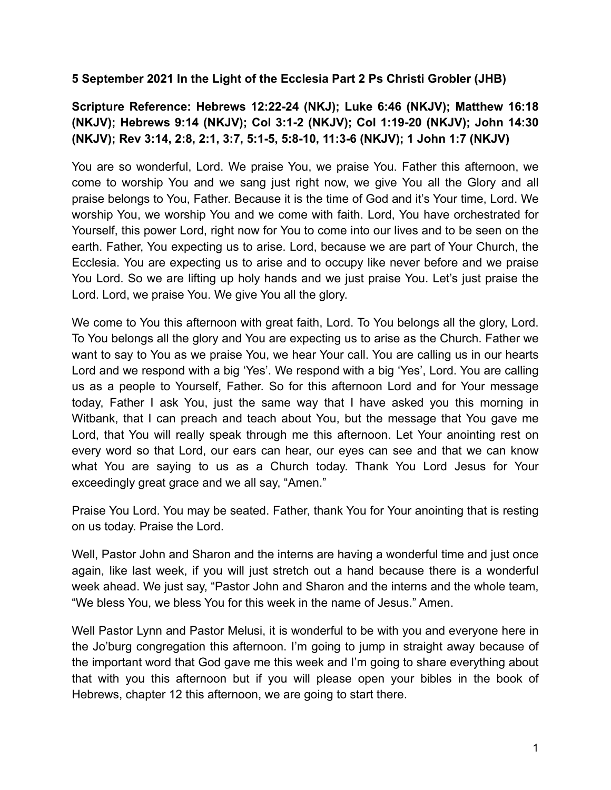## **5 September 2021 In the Light of the Ecclesia Part 2 Ps Christi Grobler (JHB)**

## **Scripture Reference: Hebrews 12:22-24 (NKJ); Luke 6:46 (NKJV); Matthew 16:18 (NKJV); Hebrews 9:14 (NKJV); Col 3:1-2 (NKJV); Col 1:19-20 (NKJV); John 14:30 (NKJV); Rev 3:14, 2:8, 2:1, 3:7, 5:1-5, 5:8-10, 11:3-6 (NKJV); 1 John 1:7 (NKJV)**

You are so wonderful, Lord. We praise You, we praise You. Father this afternoon, we come to worship You and we sang just right now, we give You all the Glory and all praise belongs to You, Father. Because it is the time of God and it's Your time, Lord. We worship You, we worship You and we come with faith. Lord, You have orchestrated for Yourself, this power Lord, right now for You to come into our lives and to be seen on the earth. Father, You expecting us to arise. Lord, because we are part of Your Church, the Ecclesia. You are expecting us to arise and to occupy like never before and we praise You Lord. So we are lifting up holy hands and we just praise You. Let's just praise the Lord. Lord, we praise You. We give You all the glory.

We come to You this afternoon with great faith, Lord. To You belongs all the glory, Lord. To You belongs all the glory and You are expecting us to arise as the Church. Father we want to say to You as we praise You, we hear Your call. You are calling us in our hearts Lord and we respond with a big 'Yes'. We respond with a big 'Yes', Lord. You are calling us as a people to Yourself, Father. So for this afternoon Lord and for Your message today, Father I ask You, just the same way that I have asked you this morning in Witbank, that I can preach and teach about You, but the message that You gave me Lord, that You will really speak through me this afternoon. Let Your anointing rest on every word so that Lord, our ears can hear, our eyes can see and that we can know what You are saying to us as a Church today. Thank You Lord Jesus for Your exceedingly great grace and we all say, "Amen."

Praise You Lord. You may be seated. Father, thank You for Your anointing that is resting on us today. Praise the Lord.

Well, Pastor John and Sharon and the interns are having a wonderful time and just once again, like last week, if you will just stretch out a hand because there is a wonderful week ahead. We just say, "Pastor John and Sharon and the interns and the whole team, "We bless You, we bless You for this week in the name of Jesus." Amen.

Well Pastor Lynn and Pastor Melusi, it is wonderful to be with you and everyone here in the Jo'burg congregation this afternoon. I'm going to jump in straight away because of the important word that God gave me this week and I'm going to share everything about that with you this afternoon but if you will please open your bibles in the book of Hebrews, chapter 12 this afternoon, we are going to start there.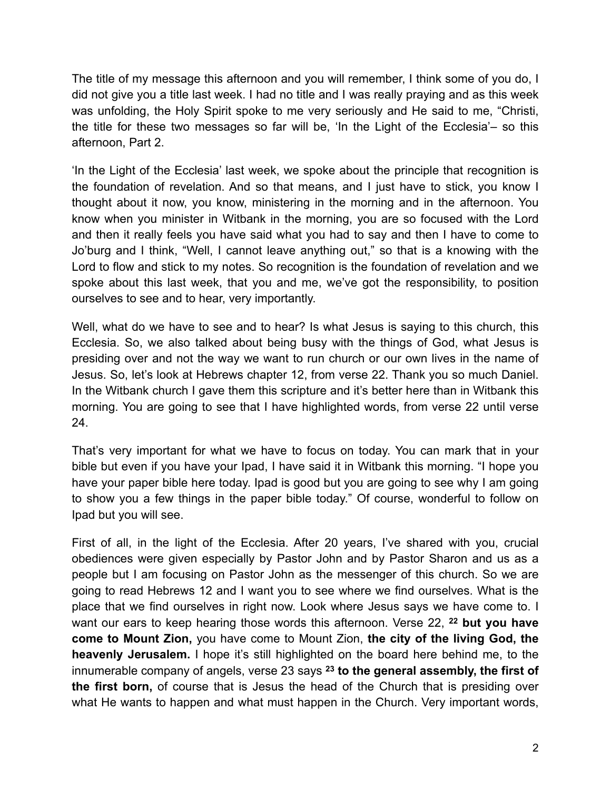The title of my message this afternoon and you will remember, I think some of you do, I did not give you a title last week. I had no title and I was really praying and as this week was unfolding, the Holy Spirit spoke to me very seriously and He said to me, "Christi, the title for these two messages so far will be, 'In the Light of the Ecclesia'– so this afternoon, Part 2.

'In the Light of the Ecclesia' last week, we spoke about the principle that recognition is the foundation of revelation. And so that means, and I just have to stick, you know I thought about it now, you know, ministering in the morning and in the afternoon. You know when you minister in Witbank in the morning, you are so focused with the Lord and then it really feels you have said what you had to say and then I have to come to Jo'burg and I think, "Well, I cannot leave anything out," so that is a knowing with the Lord to flow and stick to my notes. So recognition is the foundation of revelation and we spoke about this last week, that you and me, we've got the responsibility, to position ourselves to see and to hear, very importantly.

Well, what do we have to see and to hear? Is what Jesus is saying to this church, this Ecclesia. So, we also talked about being busy with the things of God, what Jesus is presiding over and not the way we want to run church or our own lives in the name of Jesus. So, let's look at Hebrews chapter 12, from verse 22. Thank you so much Daniel. In the Witbank church I gave them this scripture and it's better here than in Witbank this morning. You are going to see that I have highlighted words, from verse 22 until verse 24.

That's very important for what we have to focus on today. You can mark that in your bible but even if you have your Ipad, I have said it in Witbank this morning. "I hope you have your paper bible here today. Ipad is good but you are going to see why I am going to show you a few things in the paper bible today." Of course, wonderful to follow on Ipad but you will see.

First of all, in the light of the Ecclesia. After 20 years, I've shared with you, crucial obediences were given especially by Pastor John and by Pastor Sharon and us as a people but I am focusing on Pastor John as the messenger of this church. So we are going to read Hebrews 12 and I want you to see where we find ourselves. What is the place that we find ourselves in right now. Look where Jesus says we have come to. I want our ears to keep hearing those words this afternoon. Verse 22, **<sup>22</sup> but you have come to Mount Zion,** you have come to Mount Zion, **the city of the living God, the heavenly Jerusalem.** I hope it's still highlighted on the board here behind me, to the innumerable company of angels, verse 23 says **<sup>23</sup> to the general assembly, the first of the first born,** of course that is Jesus the head of the Church that is presiding over what He wants to happen and what must happen in the Church. Very important words,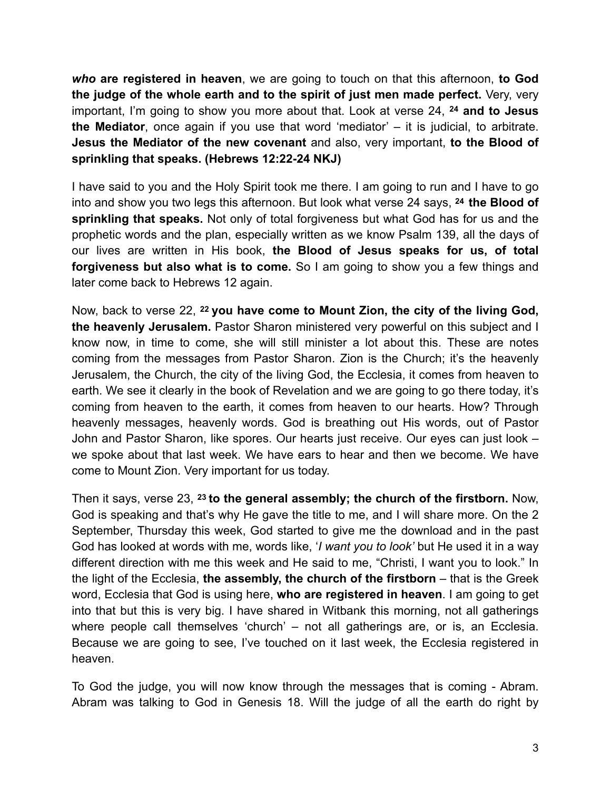*who* **are registered in heaven**, we are going to touch on that this afternoon, **to God the judge of the whole earth and to the spirit of just men made perfect.** Very, very important, I'm going to show you more about that. Look at verse 24, **<sup>24</sup> and to Jesus the Mediator**, once again if you use that word 'mediator' – it is judicial, to arbitrate. **Jesus the Mediator of the new covenant** and also, very important, **to the Blood of sprinkling that speaks. (Hebrews 12:22-24 NKJ)**

I have said to you and the Holy Spirit took me there. I am going to run and I have to go into and show you two legs this afternoon. But look what verse 24 says, **24 the Blood of sprinkling that speaks.** Not only of total forgiveness but what God has for us and the prophetic words and the plan, especially written as we know Psalm 139, all the days of our lives are written in His book, **the Blood of Jesus speaks for us, of total forgiveness but also what is to come.** So I am going to show you a few things and later come back to Hebrews 12 again.

Now, back to verse 22, **22 you have come to Mount Zion, the city of the living God, the heavenly Jerusalem.** Pastor Sharon ministered very powerful on this subject and I know now, in time to come, she will still minister a lot about this. These are notes coming from the messages from Pastor Sharon. Zion is the Church; it's the heavenly Jerusalem, the Church, the city of the living God, the Ecclesia, it comes from heaven to earth. We see it clearly in the book of Revelation and we are going to go there today, it's coming from heaven to the earth, it comes from heaven to our hearts. How? Through heavenly messages, heavenly words. God is breathing out His words, out of Pastor John and Pastor Sharon, like spores. Our hearts just receive. Our eyes can just look – we spoke about that last week. We have ears to hear and then we become. We have come to Mount Zion. Very important for us today.

Then it says, verse 23, **23 to the general assembly; the church of the firstborn.** Now, God is speaking and that's why He gave the title to me, and I will share more. On the 2 September, Thursday this week, God started to give me the download and in the past God has looked at words with me, words like, '*I want you to look'* but He used it in a way different direction with me this week and He said to me, "Christi, I want you to look." In the light of the Ecclesia, **the assembly, the church of the firstborn** – that is the Greek word, Ecclesia that God is using here, **who are registered in heaven**. I am going to get into that but this is very big. I have shared in Witbank this morning, not all gatherings where people call themselves 'church' – not all gatherings are, or is, an Ecclesia. Because we are going to see, I've touched on it last week, the Ecclesia registered in heaven.

To God the judge, you will now know through the messages that is coming - Abram. Abram was talking to God in Genesis 18. Will the judge of all the earth do right by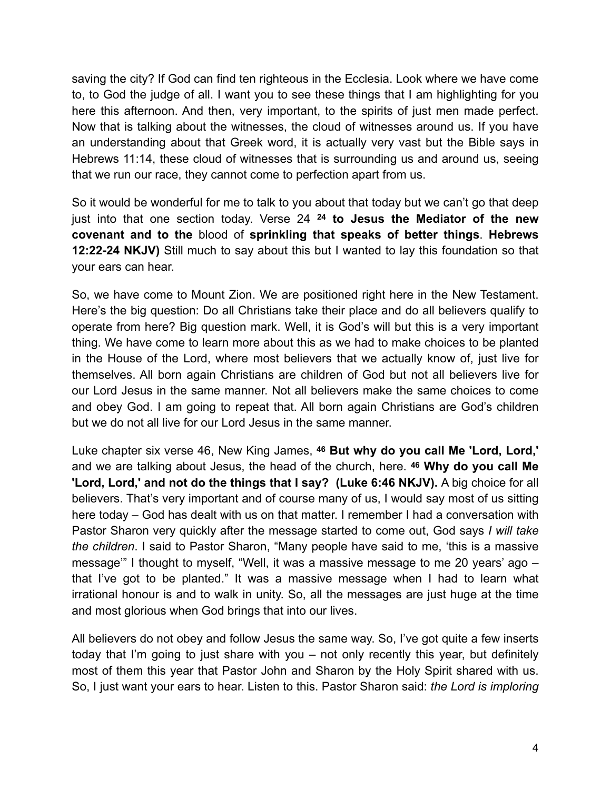saving the city? If God can find ten righteous in the Ecclesia. Look where we have come to, to God the judge of all. I want you to see these things that I am highlighting for you here this afternoon. And then, very important, to the spirits of just men made perfect. Now that is talking about the witnesses, the cloud of witnesses around us. If you have an understanding about that Greek word, it is actually very vast but the Bible says in Hebrews 11:14, these cloud of witnesses that is surrounding us and around us, seeing that we run our race, they cannot come to perfection apart from us.

So it would be wonderful for me to talk to you about that today but we can't go that deep just into that one section today. Verse 24 **<sup>24</sup> to Jesus the Mediator of the new covenant and to the** blood of **sprinkling that speaks of better things**. **Hebrews 12:22-24 NKJV)** Still much to say about this but I wanted to lay this foundation so that your ears can hear.

So, we have come to Mount Zion. We are positioned right here in the New Testament. Here's the big question: Do all Christians take their place and do all believers qualify to operate from here? Big question mark. Well, it is God's will but this is a very important thing. We have come to learn more about this as we had to make choices to be planted in the House of the Lord, where most believers that we actually know of, just live for themselves. All born again Christians are children of God but not all believers live for our Lord Jesus in the same manner. Not all believers make the same choices to come and obey God. I am going to repeat that. All born again Christians are God's children but we do not all live for our Lord Jesus in the same manner.

Luke chapter six verse 46, New King James, **46 But why do you call Me 'Lord, Lord,'** and we are talking about Jesus, the head of the church, here. **46 Why do you call Me 'Lord, Lord,' and not do the things that I say? (Luke 6:46 NKJV).** A big choice for all believers. That's very important and of course many of us, I would say most of us sitting here today – God has dealt with us on that matter. I remember I had a conversation with Pastor Sharon very quickly after the message started to come out, God says *I will take the children*. I said to Pastor Sharon, "Many people have said to me, 'this is a massive message'" I thought to myself, "Well, it was a massive message to me 20 years' ago – that I've got to be planted." It was a massive message when I had to learn what irrational honour is and to walk in unity. So, all the messages are just huge at the time and most glorious when God brings that into our lives.

All believers do not obey and follow Jesus the same way. So, I've got quite a few inserts today that I'm going to just share with you – not only recently this year, but definitely most of them this year that Pastor John and Sharon by the Holy Spirit shared with us. So, I just want your ears to hear. Listen to this. Pastor Sharon said: *the Lord is imploring*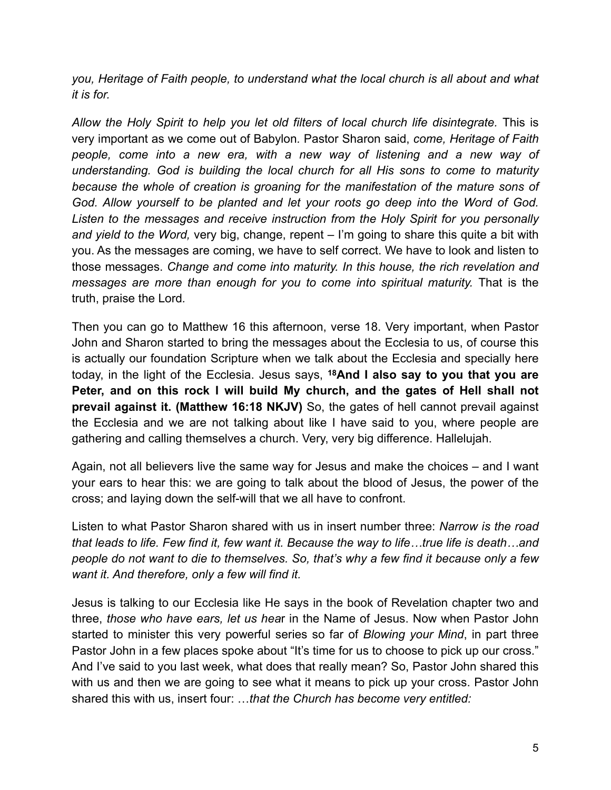*you, Heritage of Faith people, to understand what the local church is all about and what it is for.*

*Allow the Holy Spirit to help you let old filters of local church life disintegrate.* This is very important as we come out of Babylon*.* Pastor Sharon said, *come, Heritage of Faith people, come into a new era, with a new way of listening and a new way of understanding. God is building the local church for all His sons to come to maturity because the whole of creation is groaning for the manifestation of the mature sons of God. Allow yourself to be planted and let your roots go deep into the Word of God. Listen to the messages and receive instruction from the Holy Spirit for you personally and yield to the Word,* very big, change, repent – I'm going to share this quite a bit with you. As the messages are coming, we have to self correct. We have to look and listen to those messages. *Change and come into maturity. In this house, the rich revelation and messages are more than enough for you to come into spiritual maturity.* That is the truth, praise the Lord*.*

Then you can go to Matthew 16 this afternoon, verse 18. Very important, when Pastor John and Sharon started to bring the messages about the Ecclesia to us, of course this is actually our foundation Scripture when we talk about the Ecclesia and specially here today, in the light of the Ecclesia. Jesus says, **18And I also say to you that you are Peter, and on this rock I will build My church, and the gates of Hell shall not prevail against it. (Matthew 16:18 NKJV)** So, the gates of hell cannot prevail against the Ecclesia and we are not talking about like I have said to you, where people are gathering and calling themselves a church. Very, very big difference. Hallelujah.

Again, not all believers live the same way for Jesus and make the choices – and I want your ears to hear this: we are going to talk about the blood of Jesus, the power of the cross; and laying down the self-will that we all have to confront.

Listen to what Pastor Sharon shared with us in insert number three: *Narrow is the road that leads to life. Few find it, few want it. Because the way to life…true life is death…and people do not want to die to themselves. So, that's why a few find it because only a few want it. And therefore, only a few will find it.*

Jesus is talking to our Ecclesia like He says in the book of Revelation chapter two and three, *those who have ears, let us hea*r in the Name of Jesus. Now when Pastor John started to minister this very powerful series so far of *Blowing your Mind*, in part three Pastor John in a few places spoke about "It's time for us to choose to pick up our cross." And I've said to you last week, what does that really mean? So, Pastor John shared this with us and then we are going to see what it means to pick up your cross. Pastor John shared this with us, insert four: …*that the Church has become very entitled:*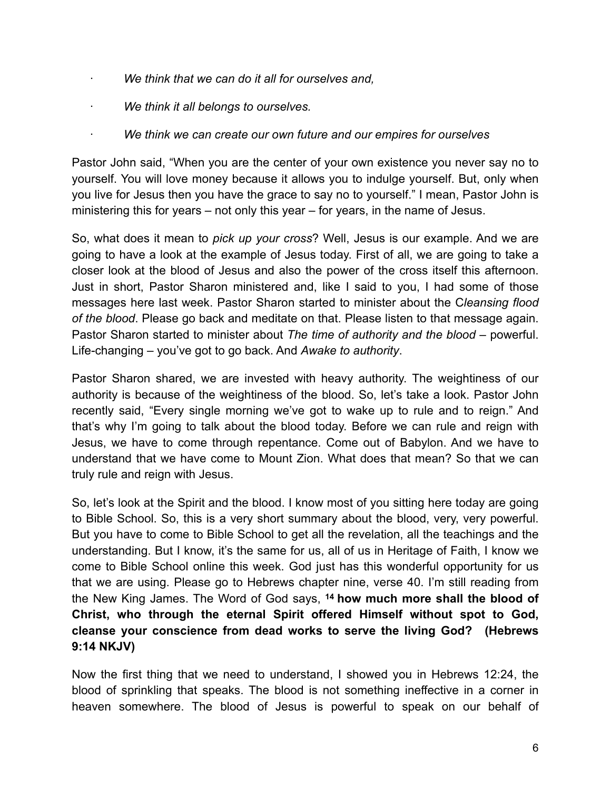- · *We think that we can do it all for ourselves and,*
- · *We think it all belongs to ourselves.*
- · *We think we can create our own future and our empires for ourselves*

Pastor John said, "When you are the center of your own existence you never say no to yourself. You will love money because it allows you to indulge yourself. But, only when you live for Jesus then you have the grace to say no to yourself." I mean, Pastor John is ministering this for years – not only this year – for years, in the name of Jesus.

So, what does it mean to *pick up your cross*? Well, Jesus is our example. And we are going to have a look at the example of Jesus today. First of all, we are going to take a closer look at the blood of Jesus and also the power of the cross itself this afternoon. Just in short, Pastor Sharon ministered and, like I said to you, I had some of those messages here last week. Pastor Sharon started to minister about the C*leansing flood of the blood*. Please go back and meditate on that. Please listen to that message again. Pastor Sharon started to minister about *The time of authority and the blood* – powerful. Life-changing – you've got to go back. And *Awake to authority*.

Pastor Sharon shared, we are invested with heavy authority. The weightiness of our authority is because of the weightiness of the blood. So, let's take a look. Pastor John recently said, "Every single morning we've got to wake up to rule and to reign." And that's why I'm going to talk about the blood today. Before we can rule and reign with Jesus, we have to come through repentance. Come out of Babylon. And we have to understand that we have come to Mount Zion. What does that mean? So that we can truly rule and reign with Jesus.

So, let's look at the Spirit and the blood. I know most of you sitting here today are going to Bible School. So, this is a very short summary about the blood, very, very powerful. But you have to come to Bible School to get all the revelation, all the teachings and the understanding. But I know, it's the same for us, all of us in Heritage of Faith, I know we come to Bible School online this week. God just has this wonderful opportunity for us that we are using. Please go to Hebrews chapter nine, verse 40. I'm still reading from the New King James. The Word of God says, **14 how much more shall the blood of Christ, who through the eternal Spirit offered Himself without spot to God, cleanse your conscience from dead works to serve the living God? (Hebrews 9:14 NKJV)**

Now the first thing that we need to understand, I showed you in Hebrews 12:24, the blood of sprinkling that speaks. The blood is not something ineffective in a corner in heaven somewhere. The blood of Jesus is powerful to speak on our behalf of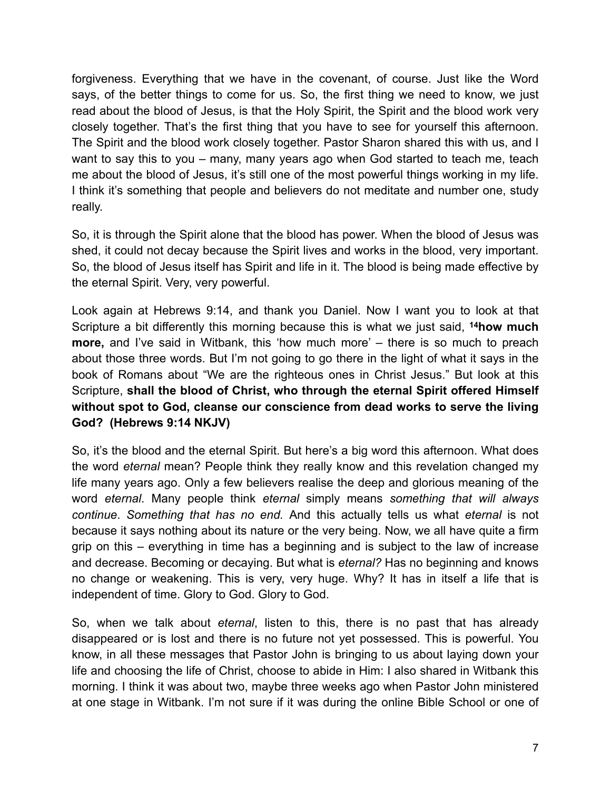forgiveness. Everything that we have in the covenant, of course. Just like the Word says, of the better things to come for us. So, the first thing we need to know, we just read about the blood of Jesus, is that the Holy Spirit, the Spirit and the blood work very closely together. That's the first thing that you have to see for yourself this afternoon. The Spirit and the blood work closely together. Pastor Sharon shared this with us, and I want to say this to you – many, many years ago when God started to teach me, teach me about the blood of Jesus, it's still one of the most powerful things working in my life. I think it's something that people and believers do not meditate and number one, study really.

So, it is through the Spirit alone that the blood has power. When the blood of Jesus was shed, it could not decay because the Spirit lives and works in the blood, very important. So, the blood of Jesus itself has Spirit and life in it. The blood is being made effective by the eternal Spirit. Very, very powerful.

Look again at Hebrews 9:14, and thank you Daniel. Now I want you to look at that Scripture a bit differently this morning because this is what we just said, **14how much more,** and I've said in Witbank, this 'how much more' – there is so much to preach about those three words. But I'm not going to go there in the light of what it says in the book of Romans about "We are the righteous ones in Christ Jesus." But look at this Scripture, **shall the blood of Christ, who through the eternal Spirit offered Himself without spot to God, cleanse our conscience from dead works to serve the living God? (Hebrews 9:14 NKJV)**

So, it's the blood and the eternal Spirit. But here's a big word this afternoon. What does the word *eternal* mean? People think they really know and this revelation changed my life many years ago. Only a few believers realise the deep and glorious meaning of the word *eternal*. Many people think *eternal* simply means *something that will always continue*. *Something that has no end.* And this actually tells us what *eternal* is not because it says nothing about its nature or the very being. Now, we all have quite a firm grip on this – everything in time has a beginning and is subject to the law of increase and decrease. Becoming or decaying. But what is *eternal?* Has no beginning and knows no change or weakening. This is very, very huge. Why? It has in itself a life that is independent of time. Glory to God. Glory to God.

So, when we talk about *eternal*, listen to this, there is no past that has already disappeared or is lost and there is no future not yet possessed. This is powerful. You know, in all these messages that Pastor John is bringing to us about laying down your life and choosing the life of Christ, choose to abide in Him: I also shared in Witbank this morning. I think it was about two, maybe three weeks ago when Pastor John ministered at one stage in Witbank. I'm not sure if it was during the online Bible School or one of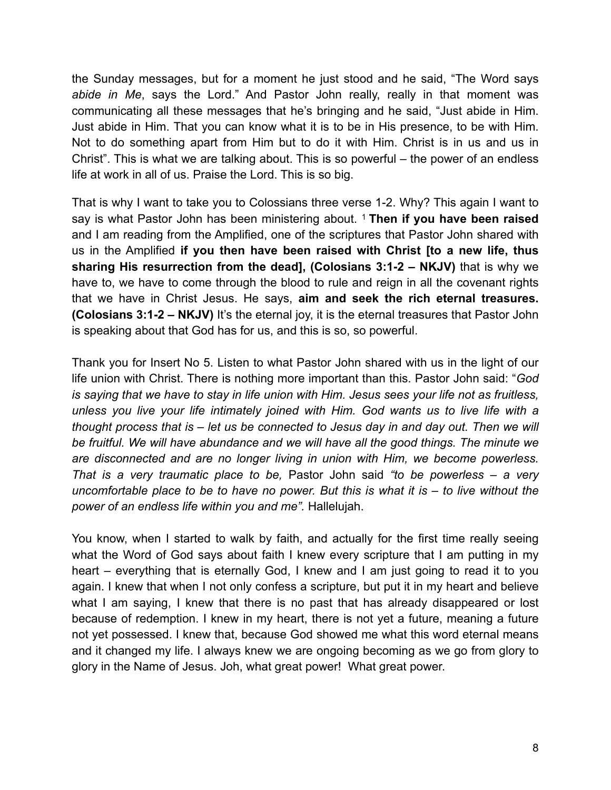the Sunday messages, but for a moment he just stood and he said, "The Word says *abide in Me*, says the Lord." And Pastor John really, really in that moment was communicating all these messages that he's bringing and he said, "Just abide in Him. Just abide in Him. That you can know what it is to be in His presence, to be with Him. Not to do something apart from Him but to do it with Him. Christ is in us and us in Christ". This is what we are talking about. This is so powerful – the power of an endless life at work in all of us. Praise the Lord. This is so big.

That is why I want to take you to Colossians three verse 1-2. Why? This again I want to say is what Pastor John has been ministering about. 1 **Then if you have been raised**  and I am reading from the Amplified, one of the scriptures that Pastor John shared with us in the Amplified **if you then have been raised with Christ [to a new life, thus sharing His resurrection from the dead], (Colosians 3:1-2 – NKJV)** that is why we have to, we have to come through the blood to rule and reign in all the covenant rights that we have in Christ Jesus. He says, **aim and seek the rich eternal treasures. (Colosians 3:1-2 – NKJV)** It's the eternal joy, it is the eternal treasures that Pastor John is speaking about that God has for us, and this is so, so powerful.

Thank you for Insert No 5. Listen to what Pastor John shared with us in the light of our life union with Christ. There is nothing more important than this. Pastor John said: "*God is saying that we have to stay in life union with Him. Jesus sees your life not as fruitless, unless you live your life intimately joined with Him. God wants us to live life with a thought process that is – let us be connected to Jesus day in and day out. Then we will be fruitful. We will have abundance and we will have all the good things. The minute we are disconnected and are no longer living in union with Him, we become powerless. That is a very traumatic place to be,* Pastor John said *"to be powerless – a very uncomfortable place to be to have no power. But this is what it is – to live without the power of an endless life within you and me".* Hallelujah.

You know, when I started to walk by faith, and actually for the first time really seeing what the Word of God says about faith I knew every scripture that I am putting in my heart – everything that is eternally God, I knew and I am just going to read it to you again. I knew that when I not only confess a scripture, but put it in my heart and believe what I am saying, I knew that there is no past that has already disappeared or lost because of redemption. I knew in my heart, there is not yet a future, meaning a future not yet possessed. I knew that, because God showed me what this word eternal means and it changed my life. I always knew we are ongoing becoming as we go from glory to glory in the Name of Jesus. Joh, what great power! What great power.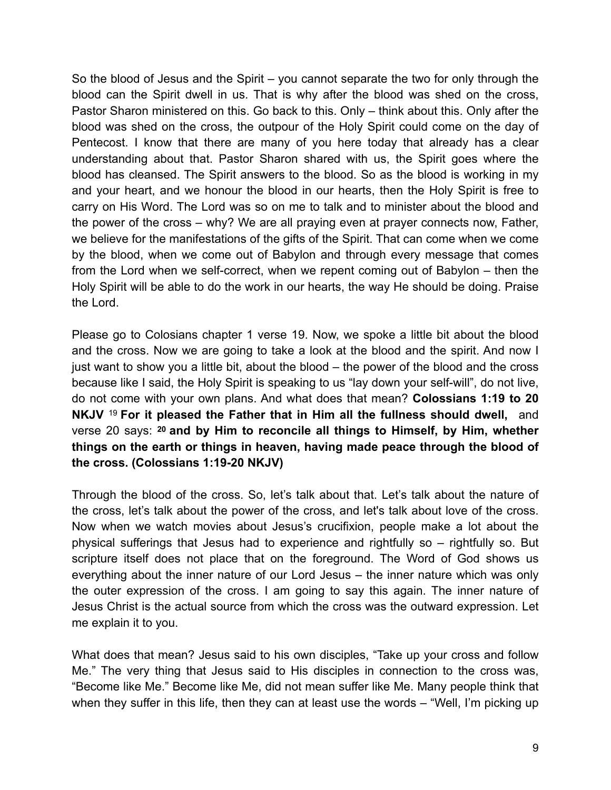So the blood of Jesus and the Spirit – you cannot separate the two for only through the blood can the Spirit dwell in us. That is why after the blood was shed on the cross, Pastor Sharon ministered on this. Go back to this. Only – think about this. Only after the blood was shed on the cross, the outpour of the Holy Spirit could come on the day of Pentecost. I know that there are many of you here today that already has a clear understanding about that. Pastor Sharon shared with us, the Spirit goes where the blood has cleansed. The Spirit answers to the blood. So as the blood is working in my and your heart, and we honour the blood in our hearts, then the Holy Spirit is free to carry on His Word. The Lord was so on me to talk and to minister about the blood and the power of the cross – why? We are all praying even at prayer connects now, Father, we believe for the manifestations of the gifts of the Spirit. That can come when we come by the blood, when we come out of Babylon and through every message that comes from the Lord when we self-correct, when we repent coming out of Babylon – then the Holy Spirit will be able to do the work in our hearts, the way He should be doing. Praise the Lord.

Please go to Colosians chapter 1 verse 19. Now, we spoke a little bit about the blood and the cross. Now we are going to take a look at the blood and the spirit. And now I just want to show you a little bit, about the blood – the power of the blood and the cross because like I said, the Holy Spirit is speaking to us "lay down your self-will", do not live, do not come with your own plans. And what does that mean? **Colossians 1:19 to 20 NKJV** <sup>19</sup> **For it pleased the Father that in Him all the fullness should dwell,** and verse 20 says: **20 and by Him to reconcile all things to Himself, by Him, whether things on the earth or things in heaven, having made peace through the blood of the cross. (Colossians 1:19-20 NKJV)**

Through the blood of the cross. So, let's talk about that. Let's talk about the nature of the cross, let's talk about the power of the cross, and let's talk about love of the cross. Now when we watch movies about Jesus's crucifixion, people make a lot about the physical sufferings that Jesus had to experience and rightfully so – rightfully so. But scripture itself does not place that on the foreground. The Word of God shows us everything about the inner nature of our Lord Jesus – the inner nature which was only the outer expression of the cross. I am going to say this again. The inner nature of Jesus Christ is the actual source from which the cross was the outward expression. Let me explain it to you.

What does that mean? Jesus said to his own disciples, "Take up your cross and follow Me." The very thing that Jesus said to His disciples in connection to the cross was, "Become like Me." Become like Me, did not mean suffer like Me. Many people think that when they suffer in this life, then they can at least use the words – "Well, I'm picking up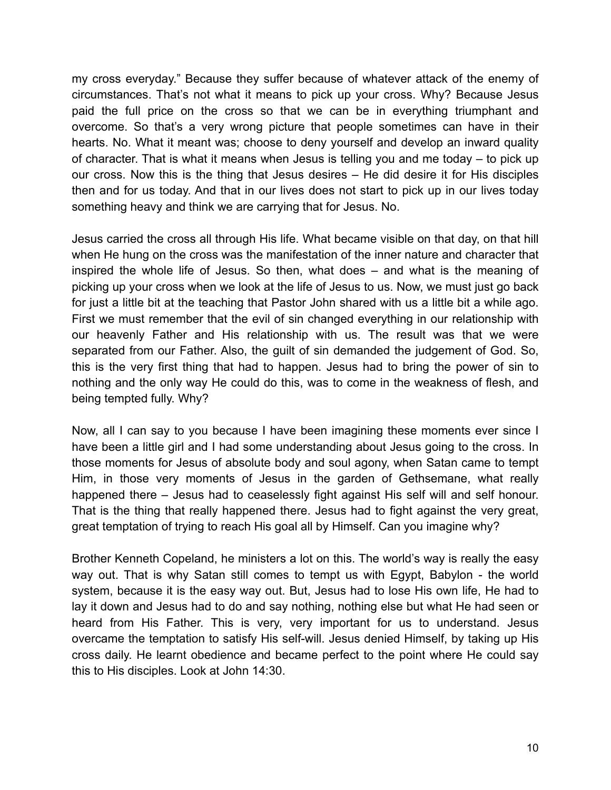my cross everyday." Because they suffer because of whatever attack of the enemy of circumstances. That's not what it means to pick up your cross. Why? Because Jesus paid the full price on the cross so that we can be in everything triumphant and overcome. So that's a very wrong picture that people sometimes can have in their hearts. No. What it meant was; choose to deny yourself and develop an inward quality of character. That is what it means when Jesus is telling you and me today – to pick up our cross. Now this is the thing that Jesus desires – He did desire it for His disciples then and for us today. And that in our lives does not start to pick up in our lives today something heavy and think we are carrying that for Jesus. No.

Jesus carried the cross all through His life. What became visible on that day, on that hill when He hung on the cross was the manifestation of the inner nature and character that inspired the whole life of Jesus. So then, what does – and what is the meaning of picking up your cross when we look at the life of Jesus to us. Now, we must just go back for just a little bit at the teaching that Pastor John shared with us a little bit a while ago. First we must remember that the evil of sin changed everything in our relationship with our heavenly Father and His relationship with us. The result was that we were separated from our Father. Also, the guilt of sin demanded the judgement of God. So, this is the very first thing that had to happen. Jesus had to bring the power of sin to nothing and the only way He could do this, was to come in the weakness of flesh, and being tempted fully. Why?

Now, all I can say to you because I have been imagining these moments ever since I have been a little girl and I had some understanding about Jesus going to the cross. In those moments for Jesus of absolute body and soul agony, when Satan came to tempt Him, in those very moments of Jesus in the garden of Gethsemane, what really happened there – Jesus had to ceaselessly fight against His self will and self honour. That is the thing that really happened there. Jesus had to fight against the very great, great temptation of trying to reach His goal all by Himself. Can you imagine why?

Brother Kenneth Copeland, he ministers a lot on this. The world's way is really the easy way out. That is why Satan still comes to tempt us with Egypt, Babylon - the world system, because it is the easy way out. But, Jesus had to lose His own life, He had to lay it down and Jesus had to do and say nothing, nothing else but what He had seen or heard from His Father. This is very, very important for us to understand. Jesus overcame the temptation to satisfy His self-will. Jesus denied Himself, by taking up His cross daily. He learnt obedience and became perfect to the point where He could say this to His disciples. Look at John 14:30.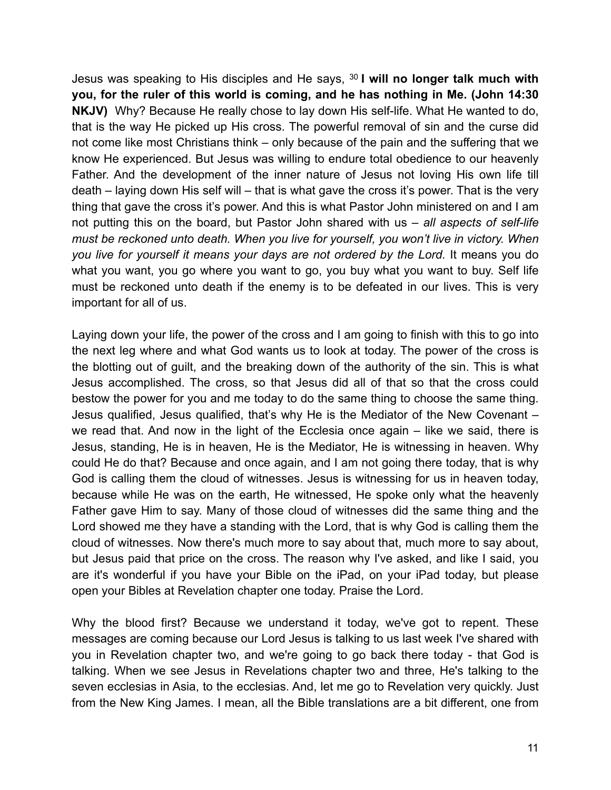Jesus was speaking to His disciples and He says, 30 **I will no longer talk much with you, for the ruler of this world is coming, and he has nothing in Me. (John 14:30 NKJV)** Why? Because He really chose to lay down His self-life. What He wanted to do, that is the way He picked up His cross. The powerful removal of sin and the curse did not come like most Christians think – only because of the pain and the suffering that we know He experienced. But Jesus was willing to endure total obedience to our heavenly Father. And the development of the inner nature of Jesus not loving His own life till death – laying down His self will – that is what gave the cross it's power. That is the very thing that gave the cross it's power. And this is what Pastor John ministered on and I am not putting this on the board, but Pastor John shared with us – *all aspects of self-life must be reckoned unto death. When you live for yourself, you won't live in victory. When you live for yourself it means your days are not ordered by the Lord.* It means you do what you want, you go where you want to go, you buy what you want to buy. Self life must be reckoned unto death if the enemy is to be defeated in our lives. This is very important for all of us.

Laying down your life, the power of the cross and I am going to finish with this to go into the next leg where and what God wants us to look at today. The power of the cross is the blotting out of guilt, and the breaking down of the authority of the sin. This is what Jesus accomplished. The cross, so that Jesus did all of that so that the cross could bestow the power for you and me today to do the same thing to choose the same thing. Jesus qualified, Jesus qualified, that's why He is the Mediator of the New Covenant – we read that. And now in the light of the Ecclesia once again – like we said, there is Jesus, standing, He is in heaven, He is the Mediator, He is witnessing in heaven. Why could He do that? Because and once again, and I am not going there today, that is why God is calling them the cloud of witnesses. Jesus is witnessing for us in heaven today, because while He was on the earth, He witnessed, He spoke only what the heavenly Father gave Him to say. Many of those cloud of witnesses did the same thing and the Lord showed me they have a standing with the Lord, that is why God is calling them the cloud of witnesses. Now there's much more to say about that, much more to say about, but Jesus paid that price on the cross. The reason why I've asked, and like I said, you are it's wonderful if you have your Bible on the iPad, on your iPad today, but please open your Bibles at Revelation chapter one today. Praise the Lord.

Why the blood first? Because we understand it today, we've got to repent. These messages are coming because our Lord Jesus is talking to us last week I've shared with you in Revelation chapter two, and we're going to go back there today - that God is talking. When we see Jesus in Revelations chapter two and three, He's talking to the seven ecclesias in Asia, to the ecclesias. And, let me go to Revelation very quickly. Just from the New King James. I mean, all the Bible translations are a bit different, one from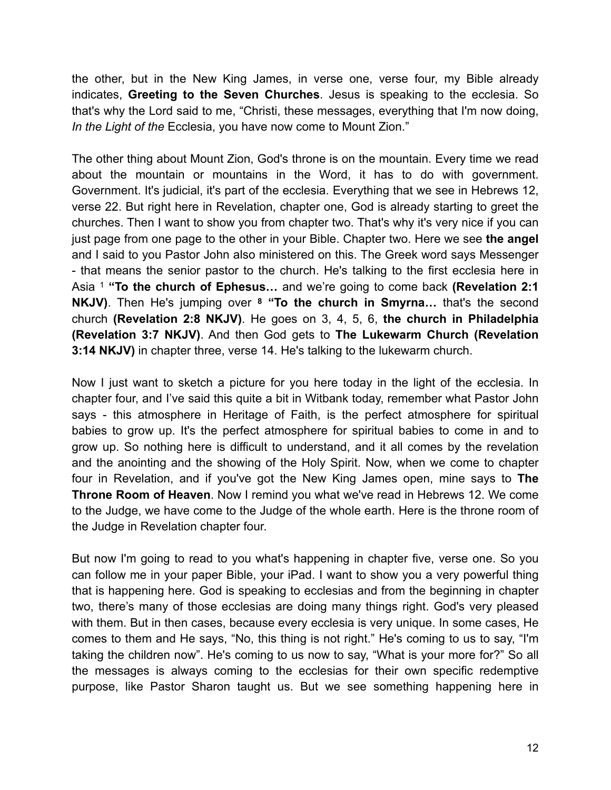the other, but in the New King James, in verse one, verse four, my Bible already indicates, **Greeting to the Seven Churches**. Jesus is speaking to the ecclesia. So that's why the Lord said to me, "Christi, these messages, everything that I'm now doing, *In the Light of the* Ecclesia, you have now come to Mount Zion."

The other thing about Mount Zion, God's throne is on the mountain. Every time we read about the mountain or mountains in the Word, it has to do with government. Government. It's judicial, it's part of the ecclesia. Everything that we see in Hebrews 12, verse 22. But right here in Revelation, chapter one, God is already starting to greet the churches. Then I want to show you from chapter two. That's why it's very nice if you can just page from one page to the other in your Bible. Chapter two. Here we see **the angel** and I said to you Pastor John also ministered on this. The Greek word says Messenger - that means the senior pastor to the church. He's talking to the first ecclesia here in Asia 1 **"To the church of Ephesus…** and we're going to come back **(Revelation 2:1 NKJV)**. Then He's jumping over **<sup>8</sup> "To the church in Smyrna…** that's the second church **(Revelation 2:8 NKJV)**. He goes on 3, 4, 5, 6, **the church in Philadelphia (Revelation 3:7 NKJV)**. And then God gets to **The Lukewarm Church (Revelation 3:14 NKJV)** in chapter three, verse 14. He's talking to the lukewarm church.

Now I just want to sketch a picture for you here today in the light of the ecclesia. In chapter four, and I've said this quite a bit in Witbank today, remember what Pastor John says - this atmosphere in Heritage of Faith, is the perfect atmosphere for spiritual babies to grow up. It's the perfect atmosphere for spiritual babies to come in and to grow up. So nothing here is difficult to understand, and it all comes by the revelation and the anointing and the showing of the Holy Spirit. Now, when we come to chapter four in Revelation, and if you've got the New King James open, mine says to **The Throne Room of Heaven**. Now I remind you what we've read in Hebrews 12. We come to the Judge, we have come to the Judge of the whole earth. Here is the throne room of the Judge in Revelation chapter four.

But now I'm going to read to you what's happening in chapter five, verse one. So you can follow me in your paper Bible, your iPad. I want to show you a very powerful thing that is happening here. God is speaking to ecclesias and from the beginning in chapter two, there's many of those ecclesias are doing many things right. God's very pleased with them. But in then cases, because every ecclesia is very unique. In some cases, He comes to them and He says, "No, this thing is not right." He's coming to us to say, "I'm taking the children now". He's coming to us now to say, "What is your more for?" So all the messages is always coming to the ecclesias for their own specific redemptive purpose, like Pastor Sharon taught us. But we see something happening here in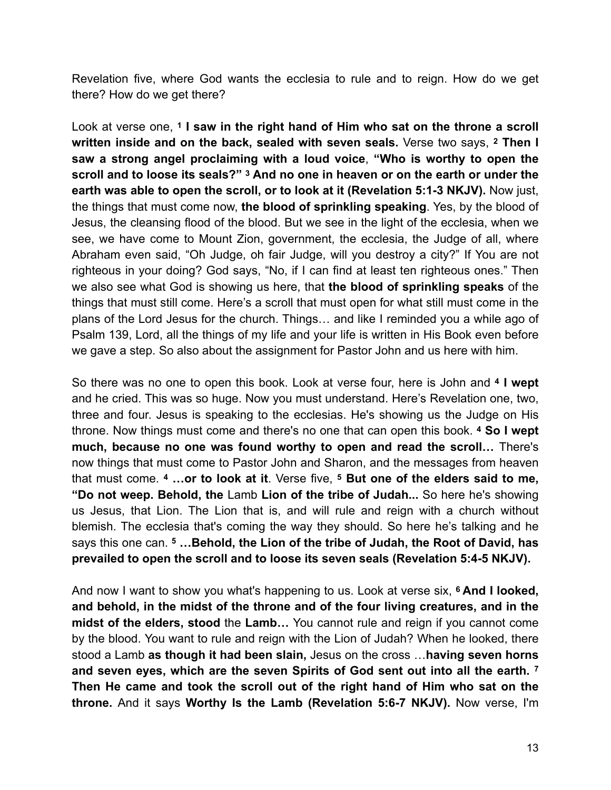Revelation five, where God wants the ecclesia to rule and to reign. How do we get there? How do we get there?

Look at verse one, **1 I saw in the right hand of Him who sat on the throne a scroll written inside and on the back, sealed with seven seals.** Verse two says, **2 Then I saw a strong angel proclaiming with a loud voice**, **"Who is worthy to open the scroll and to loose its seals?" 3 And no one in heaven or on the earth or under the earth was able to open the scroll, or to look at it (Revelation 5:1-3 NKJV).** Now just, the things that must come now, **the blood of sprinkling speaking**. Yes, by the blood of Jesus, the cleansing flood of the blood. But we see in the light of the ecclesia, when we see, we have come to Mount Zion, government, the ecclesia, the Judge of all, where Abraham even said, "Oh Judge, oh fair Judge, will you destroy a city?" If You are not righteous in your doing? God says, "No, if I can find at least ten righteous ones." Then we also see what God is showing us here, that **the blood of sprinkling speaks** of the things that must still come. Here's a scroll that must open for what still must come in the plans of the Lord Jesus for the church. Things… and like I reminded you a while ago of Psalm 139, Lord, all the things of my life and your life is written in His Book even before we gave a step. So also about the assignment for Pastor John and us here with him.

So there was no one to open this book. Look at verse four, here is John and **<sup>4</sup> I wept**  and he cried. This was so huge. Now you must understand. Here's Revelation one, two, three and four. Jesus is speaking to the ecclesias. He's showing us the Judge on His throne. Now things must come and there's no one that can open this book. **4 So I wept much, because no one was found worthy to open and read the scroll…** There's now things that must come to Pastor John and Sharon, and the messages from heaven that must come. **4 …or to look at it**. Verse five, **5 But one of the elders said to me, "Do not weep. Behold, the** Lamb **Lion of the tribe of Judah...** So here he's showing us Jesus, that Lion. The Lion that is, and will rule and reign with a church without blemish. The ecclesia that's coming the way they should. So here he's talking and he says this one can. **5 …Behold, the Lion of the tribe of Judah, the Root of David, has prevailed to open the scroll and to loose its seven seals (Revelation 5:4-5 NKJV).** 

And now I want to show you what's happening to us. Look at verse six, **6 And I looked, and behold, in the midst of the throne and of the four living creatures, and in the midst of the elders, stood** the **Lamb…** You cannot rule and reign if you cannot come by the blood. You want to rule and reign with the Lion of Judah? When he looked, there stood a Lamb **as though it had been slain,** Jesus on the cross …**having seven horns and seven eyes, which are the seven Spirits of God sent out into all the earth. 7 Then He came and took the scroll out of the right hand of Him who sat on the throne.** And it says **Worthy Is the Lamb (Revelation 5:6-7 NKJV).** Now verse, I'm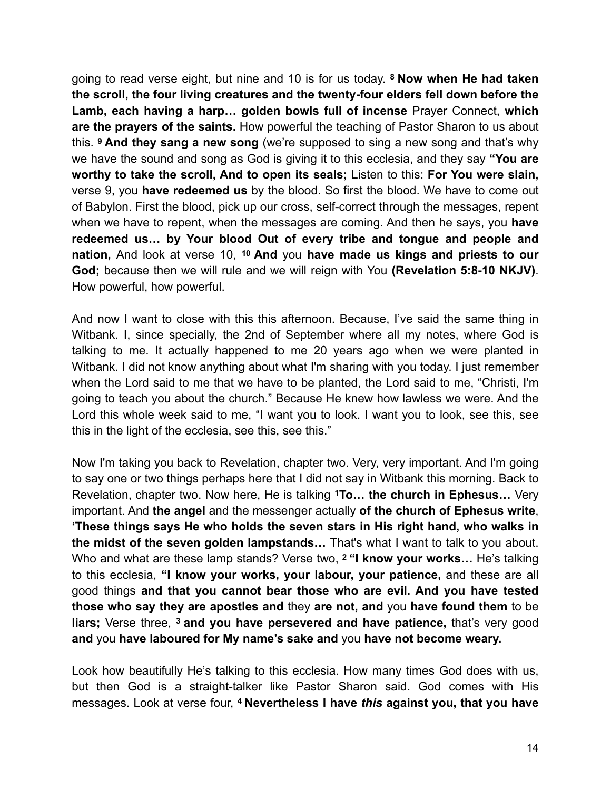going to read verse eight, but nine and 10 is for us today. **8 Now when He had taken the scroll, the four living creatures and the twenty-four elders fell down before the Lamb, each having a harp… golden bowls full of incense** Prayer Connect, **which are the prayers of the saints.** How powerful the teaching of Pastor Sharon to us about this. **9 And they sang a new song** (we're supposed to sing a new song and that's why we have the sound and song as God is giving it to this ecclesia, and they say **"You are worthy to take the scroll, And to open its seals;** Listen to this: **For You were slain,**  verse 9, you **have redeemed us** by the blood. So first the blood. We have to come out of Babylon. First the blood, pick up our cross, self-correct through the messages, repent when we have to repent, when the messages are coming. And then he says, you **have redeemed us… by Your blood Out of every tribe and tongue and people and nation,** And look at verse 10, **10 And** you **have made us kings and priests to our God;** because then we will rule and we will reign with You **(Revelation 5:8-10 NKJV)**. How powerful, how powerful.

And now I want to close with this this afternoon. Because, I've said the same thing in Witbank. I, since specially, the 2nd of September where all my notes, where God is talking to me. It actually happened to me 20 years ago when we were planted in Witbank. I did not know anything about what I'm sharing with you today. I just remember when the Lord said to me that we have to be planted, the Lord said to me, "Christi, I'm going to teach you about the church." Because He knew how lawless we were. And the Lord this whole week said to me, "I want you to look. I want you to look, see this, see this in the light of the ecclesia, see this, see this."

Now I'm taking you back to Revelation, chapter two. Very, very important. And I'm going to say one or two things perhaps here that I did not say in Witbank this morning. Back to Revelation, chapter two. Now here, He is talking **1To… the church in Ephesus…** Very important. And **the angel** and the messenger actually **of the church of Ephesus write**, **'These things says He who holds the seven stars in His right hand, who walks in the midst of the seven golden lampstands…** That's what I want to talk to you about. Who and what are these lamp stands? Verse two, **2 "I know your works…** He's talking to this ecclesia, **"I know your works, your labour, your patience,** and these are all good things **and that you cannot bear those who are evil. And you have tested those who say they are apostles and** they **are not, and** you **have found them** to be **liars;** Verse three, **3 and you have persevered and have patience,** that's very good **and** you **have laboured for My name's sake and** you **have not become weary.** 

Look how beautifully He's talking to this ecclesia. How many times God does with us, but then God is a straight-talker like Pastor Sharon said. God comes with His messages. Look at verse four, **4 Nevertheless I have** *this* **against you, that you have**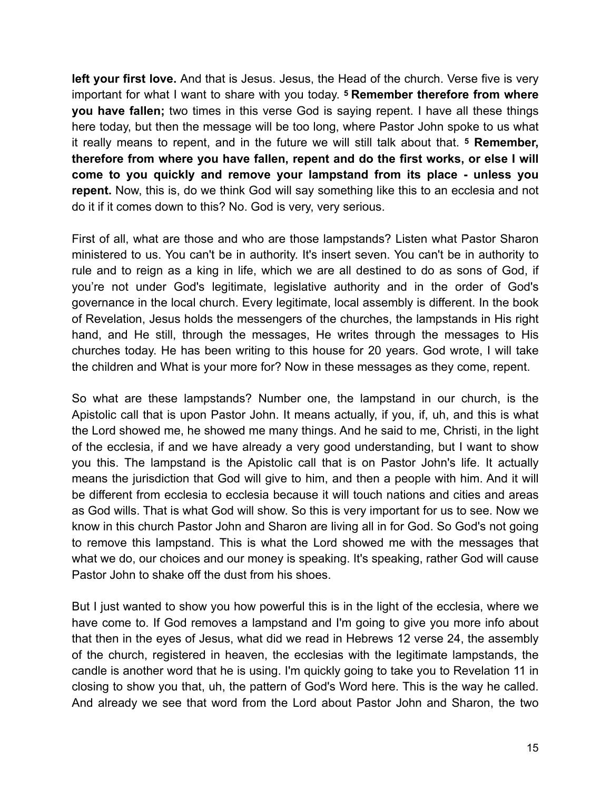**left your first love.** And that is Jesus. Jesus, the Head of the church. Verse five is very important for what I want to share with you today. **5 Remember therefore from where you have fallen;** two times in this verse God is saying repent. I have all these things here today, but then the message will be too long, where Pastor John spoke to us what it really means to repent, and in the future we will still talk about that. **5 Remember, therefore from where you have fallen, repent and do the first works, or else I will come to you quickly and remove your lampstand from its place - unless you repent.** Now, this is, do we think God will say something like this to an ecclesia and not do it if it comes down to this? No. God is very, very serious.

First of all, what are those and who are those lampstands? Listen what Pastor Sharon ministered to us. You can't be in authority. It's insert seven. You can't be in authority to rule and to reign as a king in life, which we are all destined to do as sons of God, if you're not under God's legitimate, legislative authority and in the order of God's governance in the local church. Every legitimate, local assembly is different. In the book of Revelation, Jesus holds the messengers of the churches, the lampstands in His right hand, and He still, through the messages, He writes through the messages to His churches today. He has been writing to this house for 20 years. God wrote, I will take the children and What is your more for? Now in these messages as they come, repent.

So what are these lampstands? Number one, the lampstand in our church, is the Apistolic call that is upon Pastor John. It means actually, if you, if, uh, and this is what the Lord showed me, he showed me many things. And he said to me, Christi, in the light of the ecclesia, if and we have already a very good understanding, but I want to show you this. The lampstand is the Apistolic call that is on Pastor John's life. It actually means the jurisdiction that God will give to him, and then a people with him. And it will be different from ecclesia to ecclesia because it will touch nations and cities and areas as God wills. That is what God will show. So this is very important for us to see. Now we know in this church Pastor John and Sharon are living all in for God. So God's not going to remove this lampstand. This is what the Lord showed me with the messages that what we do, our choices and our money is speaking. It's speaking, rather God will cause Pastor John to shake off the dust from his shoes.

But I just wanted to show you how powerful this is in the light of the ecclesia, where we have come to. If God removes a lampstand and I'm going to give you more info about that then in the eyes of Jesus, what did we read in Hebrews 12 verse 24, the assembly of the church, registered in heaven, the ecclesias with the legitimate lampstands, the candle is another word that he is using. I'm quickly going to take you to Revelation 11 in closing to show you that, uh, the pattern of God's Word here. This is the way he called. And already we see that word from the Lord about Pastor John and Sharon, the two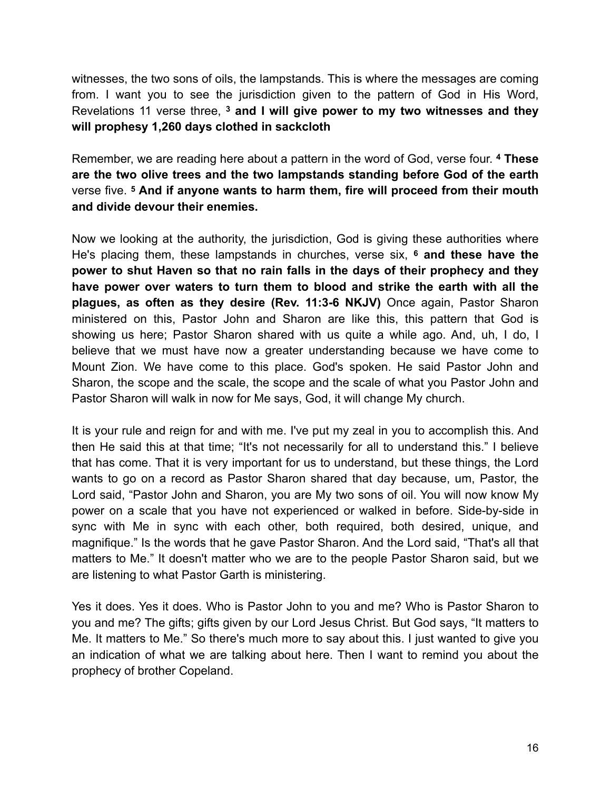witnesses, the two sons of oils, the lampstands. This is where the messages are coming from. I want you to see the jurisdiction given to the pattern of God in His Word, Revelations 11 verse three, **3 and I will give power to my two witnesses and they will prophesy 1,260 days clothed in sackcloth**

Remember, we are reading here about a pattern in the word of God, verse four. **4 These are the two olive trees and the two lampstands standing before God of the earth** verse five. **5 And if anyone wants to harm them, fire will proceed from their mouth and divide devour their enemies.** 

Now we looking at the authority, the jurisdiction, God is giving these authorities where He's placing them, these lampstands in churches, verse six, **6 and these have the power to shut Haven so that no rain falls in the days of their prophecy and they have power over waters to turn them to blood and strike the earth with all the plagues, as often as they desire (Rev. 11:3-6 NKJV)** Once again, Pastor Sharon ministered on this, Pastor John and Sharon are like this, this pattern that God is showing us here; Pastor Sharon shared with us quite a while ago. And, uh, I do, I believe that we must have now a greater understanding because we have come to Mount Zion. We have come to this place. God's spoken. He said Pastor John and Sharon, the scope and the scale, the scope and the scale of what you Pastor John and Pastor Sharon will walk in now for Me says, God, it will change My church.

It is your rule and reign for and with me. I've put my zeal in you to accomplish this. And then He said this at that time; "It's not necessarily for all to understand this." I believe that has come. That it is very important for us to understand, but these things, the Lord wants to go on a record as Pastor Sharon shared that day because, um, Pastor, the Lord said, "Pastor John and Sharon, you are My two sons of oil. You will now know My power on a scale that you have not experienced or walked in before. Side-by-side in sync with Me in sync with each other, both required, both desired, unique, and magnifique." Is the words that he gave Pastor Sharon. And the Lord said, "That's all that matters to Me." It doesn't matter who we are to the people Pastor Sharon said, but we are listening to what Pastor Garth is ministering.

Yes it does. Yes it does. Who is Pastor John to you and me? Who is Pastor Sharon to you and me? The gifts; gifts given by our Lord Jesus Christ. But God says, "It matters to Me. It matters to Me." So there's much more to say about this. I just wanted to give you an indication of what we are talking about here. Then I want to remind you about the prophecy of brother Copeland.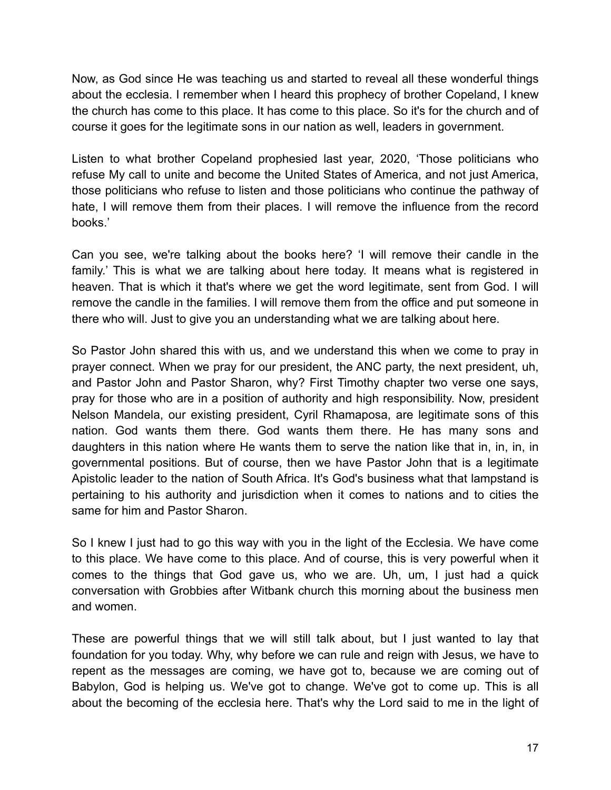Now, as God since He was teaching us and started to reveal all these wonderful things about the ecclesia. I remember when I heard this prophecy of brother Copeland, I knew the church has come to this place. It has come to this place. So it's for the church and of course it goes for the legitimate sons in our nation as well, leaders in government.

Listen to what brother Copeland prophesied last year, 2020, 'Those politicians who refuse My call to unite and become the United States of America, and not just America, those politicians who refuse to listen and those politicians who continue the pathway of hate, I will remove them from their places. I will remove the influence from the record books.'

Can you see, we're talking about the books here? 'I will remove their candle in the family.' This is what we are talking about here today. It means what is registered in heaven. That is which it that's where we get the word legitimate, sent from God. I will remove the candle in the families. I will remove them from the office and put someone in there who will. Just to give you an understanding what we are talking about here.

So Pastor John shared this with us, and we understand this when we come to pray in prayer connect. When we pray for our president, the ANC party, the next president, uh, and Pastor John and Pastor Sharon, why? First Timothy chapter two verse one says, pray for those who are in a position of authority and high responsibility. Now, president Nelson Mandela, our existing president, Cyril Rhamaposa, are legitimate sons of this nation. God wants them there. God wants them there. He has many sons and daughters in this nation where He wants them to serve the nation like that in, in, in, in governmental positions. But of course, then we have Pastor John that is a legitimate Apistolic leader to the nation of South Africa. It's God's business what that lampstand is pertaining to his authority and jurisdiction when it comes to nations and to cities the same for him and Pastor Sharon.

So I knew I just had to go this way with you in the light of the Ecclesia. We have come to this place. We have come to this place. And of course, this is very powerful when it comes to the things that God gave us, who we are. Uh, um, I just had a quick conversation with Grobbies after Witbank church this morning about the business men and women.

These are powerful things that we will still talk about, but I just wanted to lay that foundation for you today. Why, why before we can rule and reign with Jesus, we have to repent as the messages are coming, we have got to, because we are coming out of Babylon, God is helping us. We've got to change. We've got to come up. This is all about the becoming of the ecclesia here. That's why the Lord said to me in the light of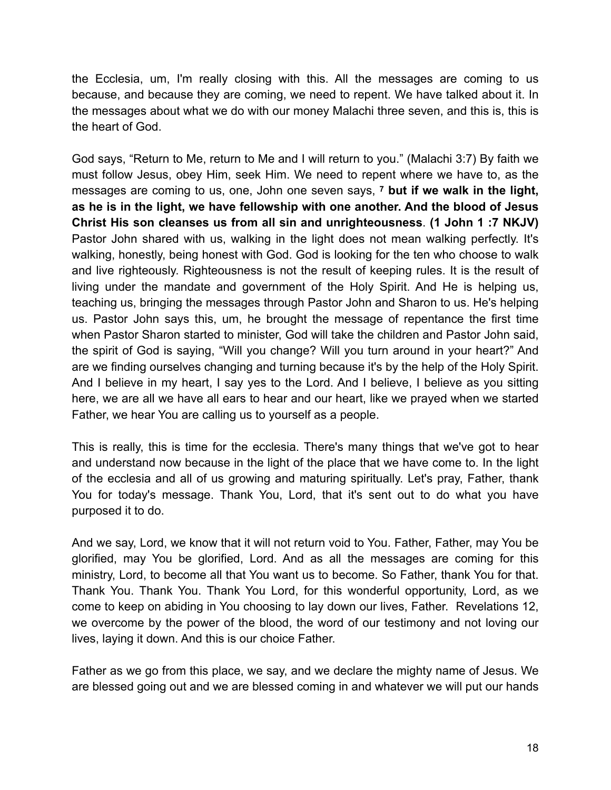the Ecclesia, um, I'm really closing with this. All the messages are coming to us because, and because they are coming, we need to repent. We have talked about it. In the messages about what we do with our money Malachi three seven, and this is, this is the heart of God.

God says, "Return to Me, return to Me and I will return to you." (Malachi 3:7) By faith we must follow Jesus, obey Him, seek Him. We need to repent where we have to, as the messages are coming to us, one, John one seven says, **7 but if we walk in the light, as he is in the light, we have fellowship with one another. And the blood of Jesus Christ His son cleanses us from all sin and unrighteousness**. **(1 John 1 :7 NKJV)** Pastor John shared with us, walking in the light does not mean walking perfectly. It's walking, honestly, being honest with God. God is looking for the ten who choose to walk and live righteously. Righteousness is not the result of keeping rules. It is the result of living under the mandate and government of the Holy Spirit. And He is helping us, teaching us, bringing the messages through Pastor John and Sharon to us. He's helping us. Pastor John says this, um, he brought the message of repentance the first time when Pastor Sharon started to minister, God will take the children and Pastor John said, the spirit of God is saying, "Will you change? Will you turn around in your heart?" And are we finding ourselves changing and turning because it's by the help of the Holy Spirit. And I believe in my heart, I say yes to the Lord. And I believe, I believe as you sitting here, we are all we have all ears to hear and our heart, like we prayed when we started Father, we hear You are calling us to yourself as a people.

This is really, this is time for the ecclesia. There's many things that we've got to hear and understand now because in the light of the place that we have come to. In the light of the ecclesia and all of us growing and maturing spiritually. Let's pray, Father, thank You for today's message. Thank You, Lord, that it's sent out to do what you have purposed it to do.

And we say, Lord, we know that it will not return void to You. Father, Father, may You be glorified, may You be glorified, Lord. And as all the messages are coming for this ministry, Lord, to become all that You want us to become. So Father, thank You for that. Thank You. Thank You. Thank You Lord, for this wonderful opportunity, Lord, as we come to keep on abiding in You choosing to lay down our lives, Father. Revelations 12, we overcome by the power of the blood, the word of our testimony and not loving our lives, laying it down. And this is our choice Father.

Father as we go from this place, we say, and we declare the mighty name of Jesus. We are blessed going out and we are blessed coming in and whatever we will put our hands